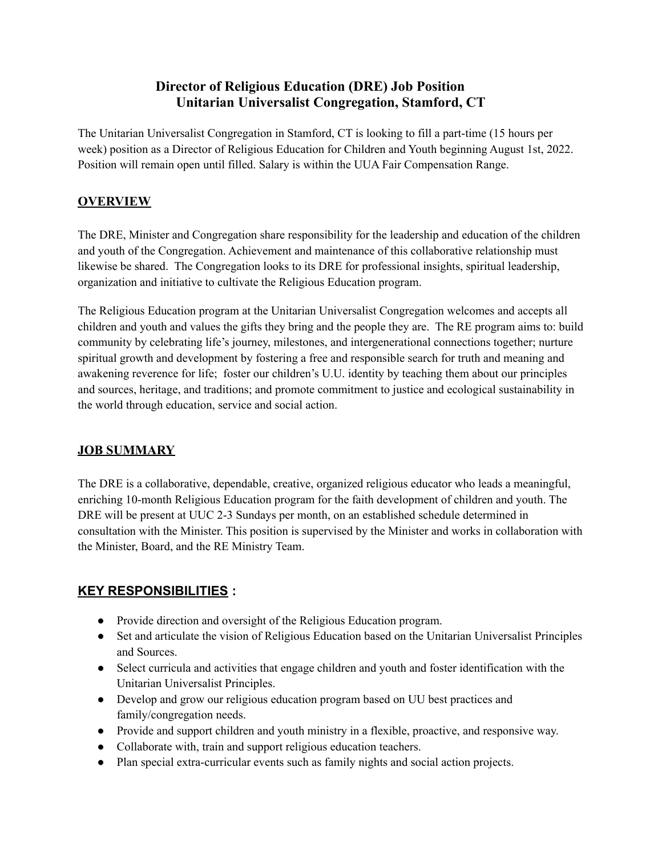# **Director of Religious Education (DRE) Job Position Unitarian Universalist Congregation, Stamford, CT**

The Unitarian Universalist Congregation in Stamford, CT is looking to fill a part-time (15 hours per week) position as a Director of Religious Education for Children and Youth beginning August 1st, 2022. Position will remain open until filled. Salary is within the UUA Fair Compensation Range.

### **OVERVIEW**

The DRE, Minister and Congregation share responsibility for the leadership and education of the children and youth of the Congregation. Achievement and maintenance of this collaborative relationship must likewise be shared. The Congregation looks to its DRE for professional insights, spiritual leadership, organization and initiative to cultivate the Religious Education program.

The Religious Education program at the Unitarian Universalist Congregation welcomes and accepts all children and youth and values the gifts they bring and the people they are. The RE program aims to: build community by celebrating life's journey, milestones, and intergenerational connections together; nurture spiritual growth and development by fostering a free and responsible search for truth and meaning and awakening reverence for life; foster our children's U.U. identity by teaching them about our principles and sources, heritage, and traditions; and promote commitment to justice and ecological sustainability in the world through education, service and social action.

#### **JOB SUMMARY**

The DRE is a collaborative, dependable, creative, organized religious educator who leads a meaningful, enriching 10-month Religious Education program for the faith development of children and youth. The DRE will be present at UUC 2-3 Sundays per month, on an established schedule determined in consultation with the Minister. This position is supervised by the Minister and works in collaboration with the Minister, Board, and the RE Ministry Team.

## **KEY RESPONSIBILITIES :**

- Provide direction and oversight of the Religious Education program.
- Set and articulate the vision of Religious Education based on the Unitarian Universalist Principles and Sources.
- Select curricula and activities that engage children and youth and foster identification with the Unitarian Universalist Principles.
- Develop and grow our religious education program based on UU best practices and family/congregation needs.
- Provide and support children and youth ministry in a flexible, proactive, and responsive way.
- Collaborate with, train and support religious education teachers.
- Plan special extra-curricular events such as family nights and social action projects.